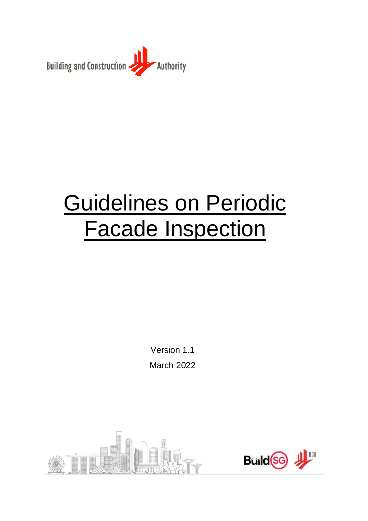

# Guidelines on Periodic Facade Inspection

Version 1.1 March 2022



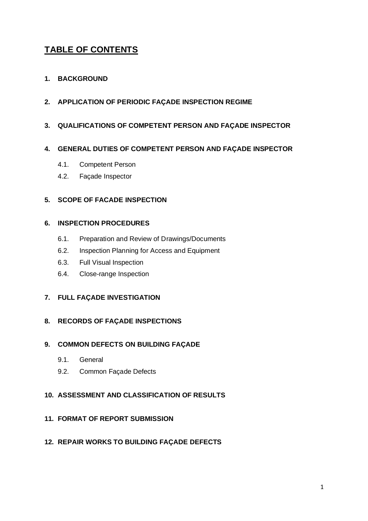# **TABLE OF CONTENTS**

#### **1. [BACKGROUND](#page-2-0)**

**2. APPLICATION OF PERIODIC FAÇADE INSPECTION REGIME**

#### **3. QUALIFICATIONS OF COMPETENT PERSON AND FAÇADE INSPECTOR**

#### **4. [GENERAL DUTIES OF COMPETENT PERSON AND FAÇADE INSPECTOR](#page-4-0)**

- 4.1. Competent Person
- 4.2. Façade Inspector

#### **5. [SCOPE OF FACADE](#page-6-0) INSPECTION**

#### **6. INSPECTION PROCEDURES**

- 6.1. Preparation and Review of Drawings/Documents
- 6.2. Inspection Planning for Access and Equipment
- 6.3. Full Visual Inspection
- 6.4. Close-range Inspection

#### **7. FULL FAÇADE INVESTIGATION**

#### **8. RECORDS OF FAÇADE INSPECTIONS**

#### **9. COMMON DEFECTS ON BUILDING FAÇADE**

- 9.1. General
- 9.2. Common Façade Defects

#### **10. ASSESSMENT AND CLASSIFICATION OF RESULTS**

#### **11. FORMAT OF REPORT SUBMISSION**

#### **12. REPAIR WORKS TO BUILDING FAÇADE DEFECTS**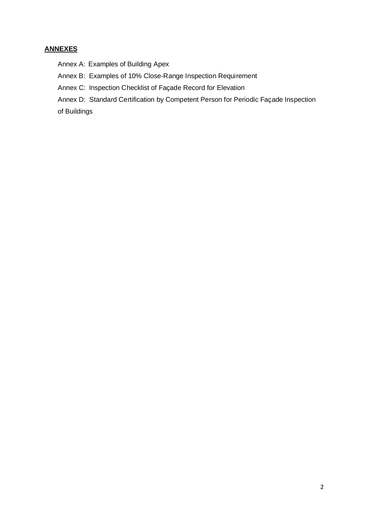#### **ANNEXES**

Annex A: Examples of Building Apex

Annex B: Examples of 10% Close-Range Inspection Requirement

Annex C: Inspection Checklist of Façade Record for Elevation

Annex D: Standard Certification by Competent Person for Periodic Façade Inspection

<span id="page-2-0"></span>of Buildings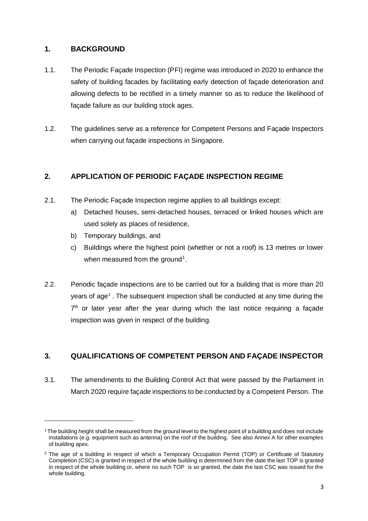#### **1. BACKGROUND**

- 1.1. The Periodic Façade Inspection (PFI) regime was introduced in 2020 to enhance the safety of building facades by facilitating early detection of façade deterioration and allowing defects to be rectified in a timely manner so as to reduce the likelihood of façade failure as our building stock ages.
- 1.2. The guidelines serve as a reference for Competent Persons and Façade Inspectors when carrying out façade inspections in Singapore.

#### **2. APPLICATION OF PERIODIC FAÇADE INSPECTION REGIME**

- 2.1. The Periodic Façade Inspection regime applies to all buildings except:
	- a) Detached houses, semi-detached houses, terraced or linked houses which are used solely as places of residence,
	- b) Temporary buildings, and
	- c) Buildings where the highest point (whether or not a roof) is 13 metres or lower when measured from the ground<sup>1</sup>.
- 2.2. Periodic façade inspections are to be carried out for a building that is more than 20 years of age<sup>2</sup>. The subsequent inspection shall be conducted at any time during the  $7<sup>th</sup>$  or later year after the year during which the last notice requiring a façade inspection was given in respect of the building.

### **3. QUALIFICATIONS OF COMPETENT PERSON AND FAÇADE INSPECTOR**

3.1. The amendments to the Building Control Act that were passed by the Parliament in March 2020 require façade inspections to be conducted by a Competent Person. The

<sup>1</sup>The building height shall be measured from the ground level to the highest point of a building and does not include installations (e.g. equipment such as antenna) on the roof of the building. See also Annex A for other examples of building apex.

<sup>&</sup>lt;sup>2</sup> The age of a building in respect of which a Temporary Occupation Permit (TOP) or Certificate of Statutory Completion (CSC) is granted in respect of the whole building is determined from the date the last TOP is granted in respect of the whole building or, where no such TOP is so granted, the date the last CSC was issued for the whole building.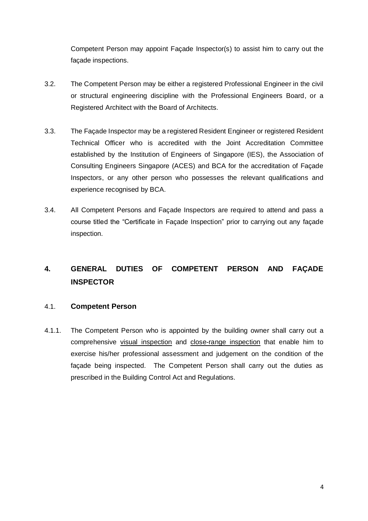Competent Person may appoint Façade Inspector(s) to assist him to carry out the façade inspections.

- 3.2. The Competent Person may be either a registered Professional Engineer in the civil or structural engineering discipline with the Professional Engineers Board, or a Registered Architect with the Board of Architects.
- 3.3. The Façade Inspector may be a registered Resident Engineer or registered Resident Technical Officer who is accredited with the Joint Accreditation Committee established by the Institution of Engineers of Singapore (IES), the Association of Consulting Engineers Singapore (ACES) and BCA for the accreditation of Façade Inspectors, or any other person who possesses the relevant qualifications and experience recognised by BCA.
- 3.4. All Competent Persons and Façade Inspectors are required to attend and pass a course titled the "Certificate in Façade Inspection" prior to carrying out any façade inspection.

## <span id="page-4-0"></span>**4. GENERAL DUTIES OF COMPETENT PERSON AND FAÇADE INSPECTOR**

#### 4.1. **Competent Person**

4.1.1. The Competent Person who is appointed by the building owner shall carry out a comprehensive visual inspection and close-range inspection that enable him to exercise his/her professional assessment and judgement on the condition of the façade being inspected. The Competent Person shall carry out the duties as prescribed in the Building Control Act and Regulations.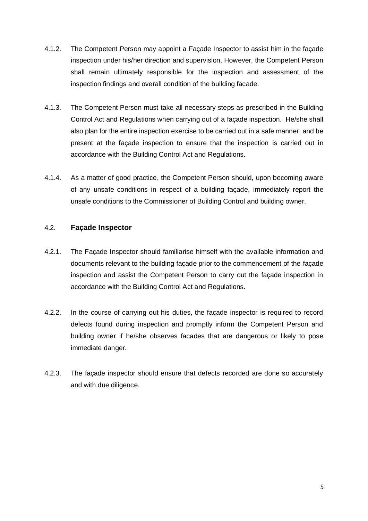- 4.1.2. The Competent Person may appoint a Façade Inspector to assist him in the façade inspection under his/her direction and supervision. However, the Competent Person shall remain ultimately responsible for the inspection and assessment of the inspection findings and overall condition of the building facade.
- 4.1.3. The Competent Person must take all necessary steps as prescribed in the Building Control Act and Regulations when carrying out of a façade inspection. He/she shall also plan for the entire inspection exercise to be carried out in a safe manner, and be present at the façade inspection to ensure that the inspection is carried out in accordance with the Building Control Act and Regulations.
- 4.1.4. As a matter of good practice, the Competent Person should, upon becoming aware of any unsafe conditions in respect of a building façade, immediately report the unsafe conditions to the Commissioner of Building Control and building owner.

#### 4.2. **Façade Inspector**

- 4.2.1. The Façade Inspector should familiarise himself with the available information and documents relevant to the building façade prior to the commencement of the façade inspection and assist the Competent Person to carry out the façade inspection in accordance with the Building Control Act and Regulations.
- 4.2.2. In the course of carrying out his duties, the façade inspector is required to record defects found during inspection and promptly inform the Competent Person and building owner if he/she observes facades that are dangerous or likely to pose immediate danger.
- 4.2.3. The façade inspector should ensure that defects recorded are done so accurately and with due diligence.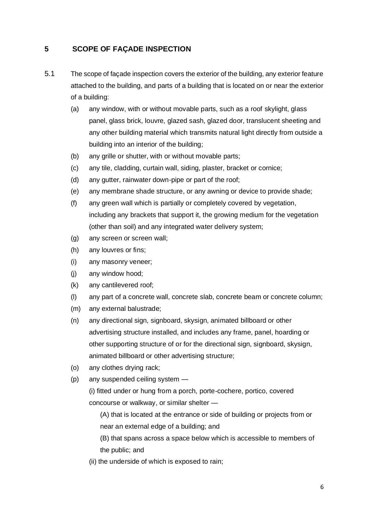#### <span id="page-6-0"></span>**5 SCOPE OF FAÇADE INSPECTION**

- 5.1 The scope of façade inspection covers the exterior of the building, any exterior feature attached to the building, and parts of a building that is located on or near the exterior of a building:
	- (a) any window, with or without movable parts, such as a roof skylight, glass panel, glass brick, louvre, glazed sash, glazed door, translucent sheeting and any other building material which transmits natural light directly from outside a building into an interior of the building;
	- (b) any grille or shutter, with or without movable parts;
	- (c) any tile, cladding, curtain wall, siding, plaster, bracket or cornice;
	- (d) any gutter, rainwater down-pipe or part of the roof;
	- (e) any membrane shade structure, or any awning or device to provide shade;
	- (f) any green wall which is partially or completely covered by vegetation, including any brackets that support it, the growing medium for the vegetation (other than soil) and any integrated water delivery system;
	- (g) any screen or screen wall;
	- (h) any louvres or fins;
	- (i) any masonry veneer;
	- (j) any window hood;
	- (k) any cantilevered roof;
	- (l) any part of a concrete wall, concrete slab, concrete beam or concrete column;
	- (m) any external balustrade;
	- (n) any directional sign, signboard, skysign, animated billboard or other advertising structure installed, and includes any frame, panel, hoarding or other supporting structure of or for the directional sign, signboard, skysign, animated billboard or other advertising structure;
	- (o) any clothes drying rack;
	- (p) any suspended ceiling system —

(i) fitted under or hung from a porch, porte-cochere, portico, covered concourse or walkway, or similar shelter —

(A) that is located at the entrance or side of building or projects from or near an external edge of a building; and

(B) that spans across a space below which is accessible to members of the public; and

(ii) the underside of which is exposed to rain;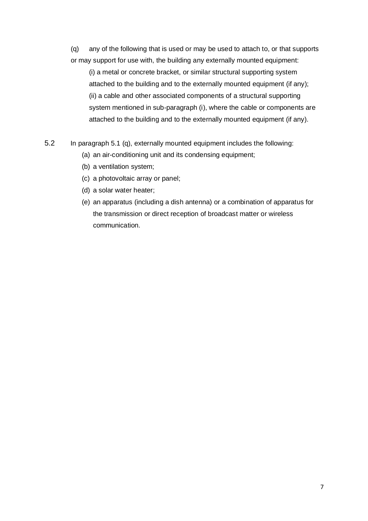(q) any of the following that is used or may be used to attach to, or that supports or may support for use with, the building any externally mounted equipment:

(i) a metal or concrete bracket, or similar structural supporting system attached to the building and to the externally mounted equipment (if any); (ii) a cable and other associated components of a structural supporting system mentioned in sub-paragraph (i), where the cable or components are attached to the building and to the externally mounted equipment (if any).

5.2 In paragraph 5.1 (q), externally mounted equipment includes the following:

- (a) an air-conditioning unit and its condensing equipment;
- (b) a ventilation system;
- (c) a photovoltaic array or panel;
- (d) a solar water heater;
- (e) an apparatus (including a dish antenna) or a combination of apparatus for the transmission or direct reception of broadcast matter or wireless communication.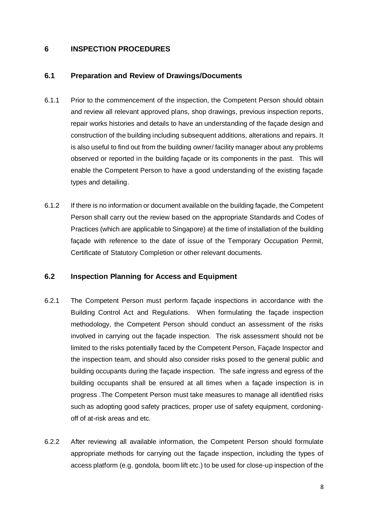#### **6 INSPECTION PROCEDURES**

#### **6.1 Preparation and Review of Drawings/Documents**

- 6.1.1 Prior to the commencement of the inspection, the Competent Person should obtain and review all relevant approved plans, shop drawings, previous inspection reports, repair works histories and details to have an understanding of the façade design and construction of the building including subsequent additions, alterations and repairs. It is also useful to find out from the building owner/ facility manager about any problems observed or reported in the building façade or its components in the past. This will enable the Competent Person to have a good understanding of the existing façade types and detailing.
- 6.1.2 If there is no information or document available on the building façade, the Competent Person shall carry out the review based on the appropriate Standards and Codes of Practices (which are applicable to Singapore) at the time of installation of the building façade with reference to the date of issue of the Temporary Occupation Permit, Certificate of Statutory Completion or other relevant documents.

#### **6.2 Inspection Planning for Access and Equipment**

- 6.2.1 The Competent Person must perform façade inspections in accordance with the Building Control Act and Regulations. When formulating the façade inspection methodology, the Competent Person should conduct an assessment of the risks involved in carrying out the façade inspection. The risk assessment should not be limited to the risks potentially faced by the Competent Person, Façade Inspector and the inspection team, and should also consider risks posed to the general public and building occupants during the façade inspection. The safe ingress and egress of the building occupants shall be ensured at all times when a façade inspection is in progress .The Competent Person must take measures to manage all identified risks such as adopting good safety practices, proper use of safety equipment, cordoningoff of at-risk areas and etc.
- 6.2.2 After reviewing all available information, the Competent Person should formulate appropriate methods for carrying out the façade inspection, including the types of access platform (e.g. gondola, boom lift etc.) to be used for close-up inspection of the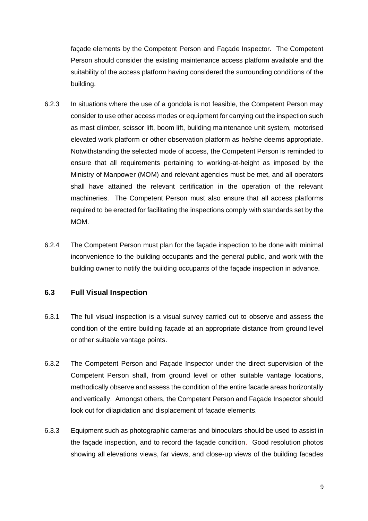façade elements by the Competent Person and Façade Inspector. The Competent Person should consider the existing maintenance access platform available and the suitability of the access platform having considered the surrounding conditions of the building.

- 6.2.3 In situations where the use of a gondola is not feasible, the Competent Person may consider to use other access modes or equipment for carrying out the inspection such as mast climber, scissor lift, boom lift, building maintenance unit system, motorised elevated work platform or other observation platform as he/she deems appropriate. Notwithstanding the selected mode of access, the Competent Person is reminded to ensure that all requirements pertaining to working-at-height as imposed by the Ministry of Manpower (MOM) and relevant agencies must be met, and all operators shall have attained the relevant certification in the operation of the relevant machineries. The Competent Person must also ensure that all access platforms required to be erected for facilitating the inspections comply with standards set by the MOM.
- 6.2.4 The Competent Person must plan for the façade inspection to be done with minimal inconvenience to the building occupants and the general public, and work with the building owner to notify the building occupants of the façade inspection in advance.

#### **6.3 Full Visual Inspection**

- 6.3.1 The full visual inspection is a visual survey carried out to observe and assess the condition of the entire building façade at an appropriate distance from ground level or other suitable vantage points.
- 6.3.2 The Competent Person and Façade Inspector under the direct supervision of the Competent Person shall, from ground level or other suitable vantage locations, methodically observe and assess the condition of the entire facade areas horizontally and vertically. Amongst others, the Competent Person and Façade Inspector should look out for dilapidation and displacement of façade elements.
- 6.3.3 Equipment such as photographic cameras and binoculars should be used to assist in the façade inspection, and to record the façade condition. Good resolution photos showing all elevations views, far views, and close-up views of the building facades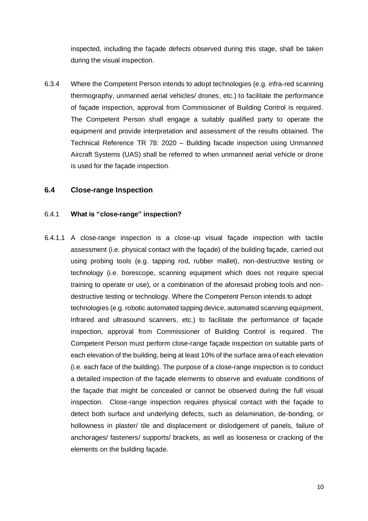inspected, including the façade defects observed during this stage, shall be taken during the visual inspection.

6.3.4 Where the Competent Person intends to adopt technologies (e.g. infra-red scanning thermography, unmanned aerial vehicles/ drones, etc.) to facilitate the performance of façade inspection, approval from Commissioner of Building Control is required. The Competent Person shall engage a suitably qualified party to operate the equipment and provide interpretation and assessment of the results obtained. The Technical Reference TR 78: 2020 – Building facade inspection using Unmanned Aircraft Systems (UAS) shall be referred to when unmanned aerial vehicle or drone is used for the façade inspection.

#### **6.4 Close-range Inspection**

#### 6.4.1 **What is "close-range" inspection?**

6.4.1.1 A close-range inspection is a close-up visual façade inspection with tactile assessment (i.e. physical contact with the façade) of the building façade, carried out using probing tools (e.g. tapping rod, rubber mallet), non-destructive testing or technology (i.e. borescope, scanning equipment which does not require special training to operate or use), or a combination of the aforesaid probing tools and nondestructive testing or technology. Where the Competent Person intends to adopt technologies (e.g. robotic automated tapping device, automated scanning equipment, Infrared and ultrasound scanners, etc.) to facilitate the performance of façade inspection, approval from Commissioner of Building Control is required. The Competent Person must perform close-range façade inspection on suitable parts of each elevation of the building, being at least 10% of the surface area of each elevation (i.e. each face of the building). The purpose of a close-range inspection is to conduct a detailed inspection of the façade elements to observe and evaluate conditions of the façade that might be concealed or cannot be observed during the full visual inspection. Close-range inspection requires physical contact with the façade to detect both surface and underlying defects, such as delamination, de-bonding, or hollowness in plaster/ tile and displacement or dislodgement of panels, failure of anchorages/ fasteners/ supports/ brackets, as well as looseness or cracking of the elements on the building façade.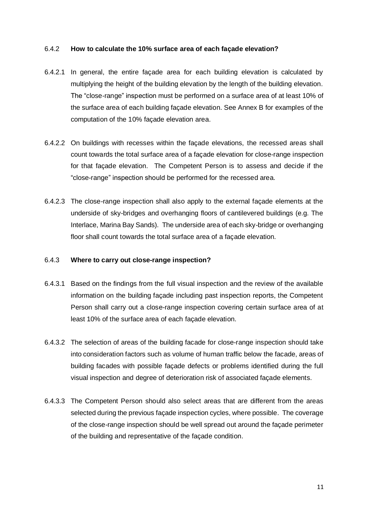#### 6.4.2 **How to calculate the 10% surface area of each façade elevation?**

- 6.4.2.1 In general, the entire façade area for each building elevation is calculated by multiplying the height of the building elevation by the length of the building elevation. The "close-range" inspection must be performed on a surface area of at least 10% of the surface area of each building façade elevation. See Annex B for examples of the computation of the 10% façade elevation area.
- 6.4.2.2 On buildings with recesses within the façade elevations, the recessed areas shall count towards the total surface area of a façade elevation for close-range inspection for that façade elevation. The Competent Person is to assess and decide if the "close-range" inspection should be performed for the recessed area.
- 6.4.2.3 The close-range inspection shall also apply to the external façade elements at the underside of sky-bridges and overhanging floors of cantilevered buildings (e.g. The Interlace, Marina Bay Sands). The underside area of each sky-bridge or overhanging floor shall count towards the total surface area of a façade elevation.

#### 6.4.3 **Where to carry out close-range inspection?**

- 6.4.3.1 Based on the findings from the full visual inspection and the review of the available information on the building façade including past inspection reports, the Competent Person shall carry out a close-range inspection covering certain surface area of at least 10% of the surface area of each façade elevation.
- 6.4.3.2 The selection of areas of the building facade for close-range inspection should take into consideration factors such as volume of human traffic below the facade, areas of building facades with possible façade defects or problems identified during the full visual inspection and degree of deterioration risk of associated façade elements.
- 6.4.3.3 The Competent Person should also select areas that are different from the areas selected during the previous façade inspection cycles, where possible. The coverage of the close-range inspection should be well spread out around the façade perimeter of the building and representative of the façade condition.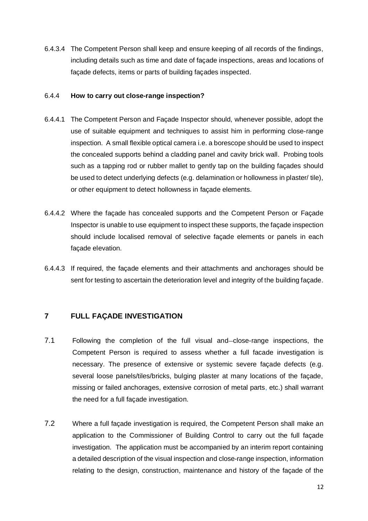6.4.3.4 The Competent Person shall keep and ensure keeping of all records of the findings, including details such as time and date of façade inspections, areas and locations of façade defects, items or parts of building façades inspected.

#### 6.4.4 **How to carry out close-range inspection?**

- 6.4.4.1 The Competent Person and Façade Inspector should, whenever possible, adopt the use of suitable equipment and techniques to assist him in performing close-range inspection. A small flexible optical camera i.e. a borescope should be used to inspect the concealed supports behind a cladding panel and cavity brick wall. Probing tools such as a tapping rod or rubber mallet to gently tap on the building façades should be used to detect underlying defects (e.g. delamination or hollowness in plaster/ tile), or other equipment to detect hollowness in façade elements.
- 6.4.4.2 Where the façade has concealed supports and the Competent Person or Façade Inspector is unable to use equipment to inspect these supports, the façade inspection should include localised removal of selective façade elements or panels in each façade elevation.
- 6.4.4.3 If required, the façade elements and their attachments and anchorages should be sent for testing to ascertain the deterioration level and integrity of the building façade.

#### **7 FULL FAÇADE INVESTIGATION**

- 7.1 Following the completion of the full visual and-close-range inspections, the Competent Person is required to assess whether a full facade investigation is necessary. The presence of extensive or systemic severe façade defects (e.g. several loose panels/tiles/bricks, bulging plaster at many locations of the façade, missing or failed anchorages, extensive corrosion of metal parts, etc.) shall warrant the need for a full façade investigation.
- 7.2 Where a full façade investigation is required, the Competent Person shall make an application to the Commissioner of Building Control to carry out the full façade investigation. The application must be accompanied by an interim report containing a detailed description of the visual inspection and close-range inspection, information relating to the design, construction, maintenance and history of the façade of the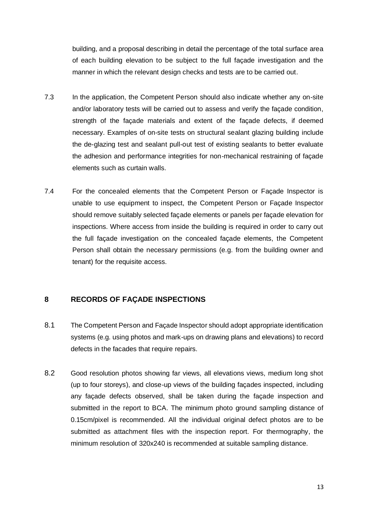building, and a proposal describing in detail the percentage of the total surface area of each building elevation to be subject to the full façade investigation and the manner in which the relevant design checks and tests are to be carried out.

- 7.3 In the application, the Competent Person should also indicate whether any on-site and/or laboratory tests will be carried out to assess and verify the façade condition, strength of the façade materials and extent of the façade defects, if deemed necessary. Examples of on-site tests on structural sealant glazing building include the de-glazing test and sealant pull-out test of existing sealants to better evaluate the adhesion and performance integrities for non-mechanical restraining of façade elements such as curtain walls.
- 7.4 For the concealed elements that the Competent Person or Façade Inspector is unable to use equipment to inspect, the Competent Person or Façade Inspector should remove suitably selected façade elements or panels per façade elevation for inspections. Where access from inside the building is required in order to carry out the full façade investigation on the concealed façade elements, the Competent Person shall obtain the necessary permissions (e.g. from the building owner and tenant) for the requisite access.

#### **8 RECORDS OF FAÇADE INSPECTIONS**

- 8.1 The Competent Person and Façade Inspector should adopt appropriate identification systems (e.g. using photos and mark-ups on drawing plans and elevations) to record defects in the facades that require repairs.
- 8.2 Good resolution photos showing far views, all elevations views, medium long shot (up to four storeys), and close-up views of the building façades inspected, including any façade defects observed, shall be taken during the façade inspection and submitted in the report to BCA. The minimum photo ground sampling distance of 0.15cm/pixel is recommended. All the individual original defect photos are to be submitted as attachment files with the inspection report. For thermography, the minimum resolution of 320x240 is recommended at suitable sampling distance.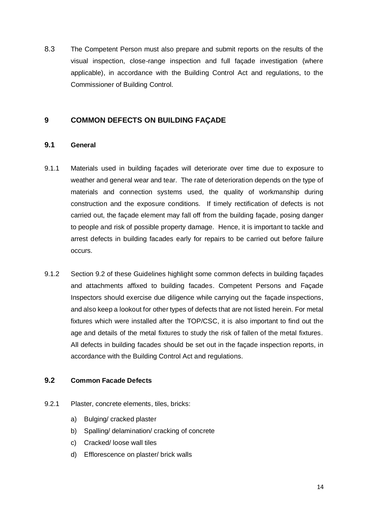8.3 The Competent Person must also prepare and submit reports on the results of the visual inspection, close-range inspection and full façade investigation (where applicable), in accordance with the Building Control Act and regulations, to the Commissioner of Building Control.

#### **9 COMMON DEFECTS ON BUILDING FAÇADE**

#### **9.1 General**

- 9.1.1 Materials used in building façades will deteriorate over time due to exposure to weather and general wear and tear. The rate of deterioration depends on the type of materials and connection systems used, the quality of workmanship during construction and the exposure conditions. If timely rectification of defects is not carried out, the façade element may fall off from the building façade, posing danger to people and risk of possible property damage. Hence, it is important to tackle and arrest defects in building facades early for repairs to be carried out before failure occurs.
- 9.1.2 Section 9.2 of these Guidelines highlight some common defects in building façades and attachments affixed to building facades. Competent Persons and Façade Inspectors should exercise due diligence while carrying out the façade inspections, and also keep a lookout for other types of defects that are not listed herein. For metal fixtures which were installed after the TOP/CSC, it is also important to find out the age and details of the metal fixtures to study the risk of fallen of the metal fixtures. All defects in building facades should be set out in the façade inspection reports, in accordance with the Building Control Act and regulations.

#### **9.2 Common Facade Defects**

- 9.2.1 Plaster, concrete elements, tiles, bricks:
	- a) Bulging/ cracked plaster
	- b) Spalling/ delamination/ cracking of concrete
	- c) Cracked/ loose wall tiles
	- d) Efflorescence on plaster/ brick walls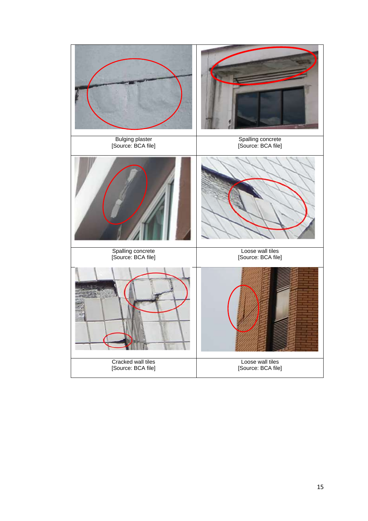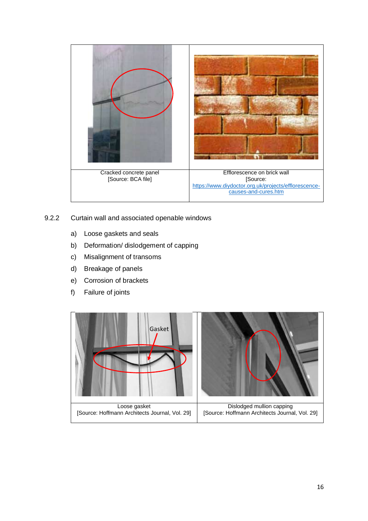

- 9.2.2 Curtain wall and associated openable windows
	- a) Loose gaskets and seals
	- b) Deformation/ dislodgement of capping
	- c) Misalignment of transoms
	- d) Breakage of panels
	- e) Corrosion of brackets
	- f) Failure of joints

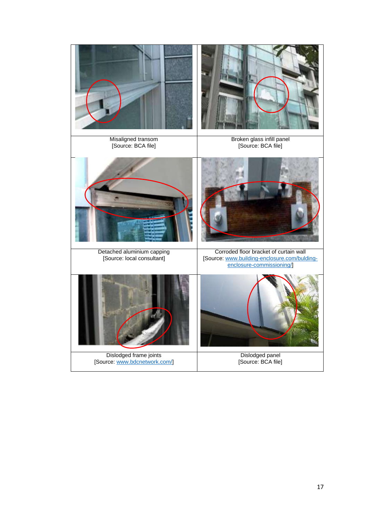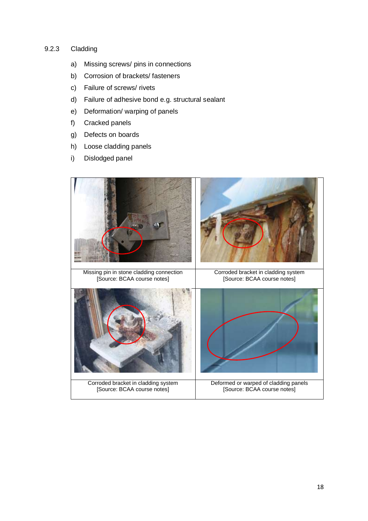#### 9.2.3 Cladding

- a) Missing screws/ pins in connections
- b) Corrosion of brackets/ fasteners
- c) Failure of screws/ rivets
- d) Failure of adhesive bond e.g. structural sealant
- e) Deformation/ warping of panels
- f) Cracked panels
- g) Defects on boards
- h) Loose cladding panels
- i) Dislodged panel

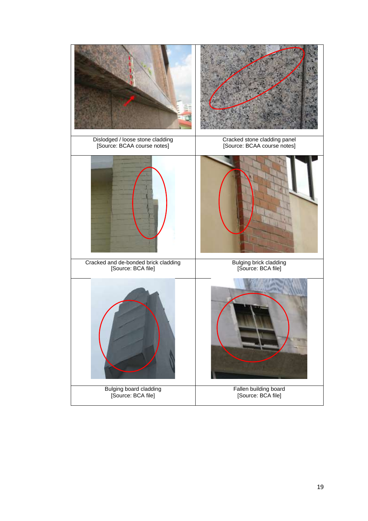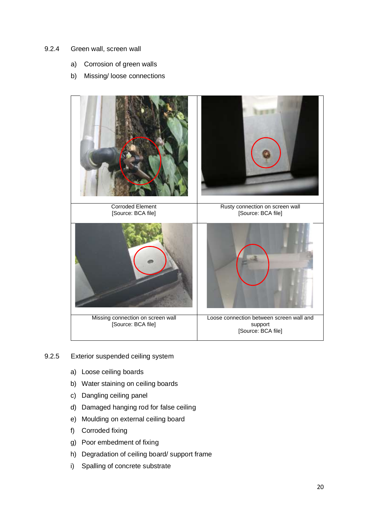#### 9.2.4 Green wall, screen wall

- a) Corrosion of green walls
- b) Missing/ loose connections



- 9.2.5 Exterior suspended ceiling system
	- a) Loose ceiling boards
	- b) Water staining on ceiling boards
	- c) Dangling ceiling panel
	- d) Damaged hanging rod for false ceiling
	- e) Moulding on external ceiling board
	- f) Corroded fixing
	- g) Poor embedment of fixing
	- h) Degradation of ceiling board/ support frame
	- i) Spalling of concrete substrate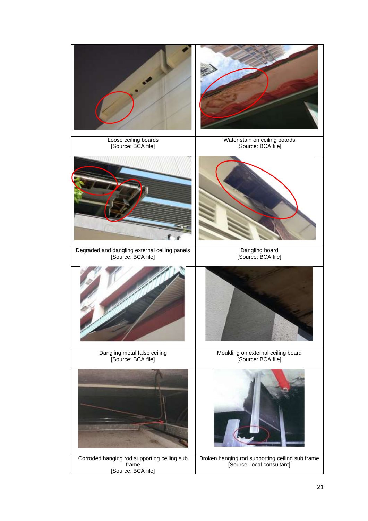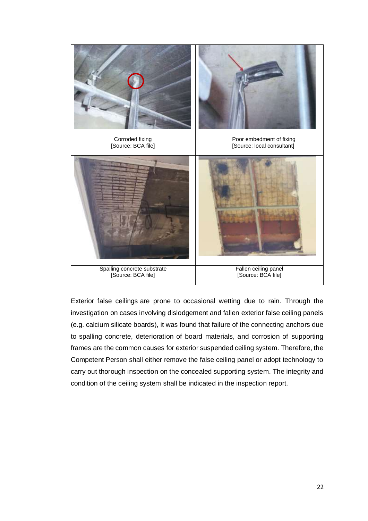

Exterior false ceilings are prone to occasional wetting due to rain. Through the investigation on cases involving dislodgement and fallen exterior false ceiling panels (e.g. calcium silicate boards), it was found that failure of the connecting anchors due to spalling concrete, deterioration of board materials, and corrosion of supporting frames are the common causes for exterior suspended ceiling system. Therefore, the Competent Person shall either remove the false ceiling panel or adopt technology to carry out thorough inspection on the concealed supporting system. The integrity and condition of the ceiling system shall be indicated in the inspection report.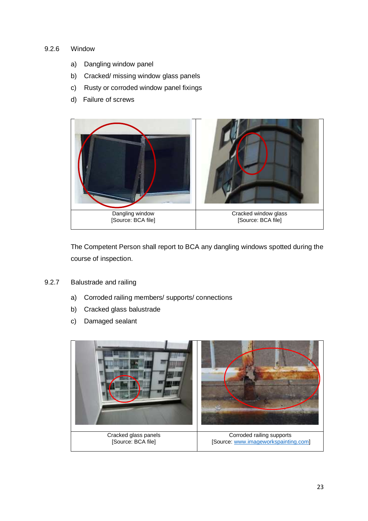#### 9.2.6 Window

- a) Dangling window panel
- b) Cracked/ missing window glass panels
- c) Rusty or corroded window panel fixings
- d) Failure of screws



The Competent Person shall report to BCA any dangling windows spotted during the course of inspection.

- 9.2.7 Balustrade and railing
	- a) Corroded railing members/ supports/ connections
	- b) Cracked glass balustrade
	- c) Damaged sealant

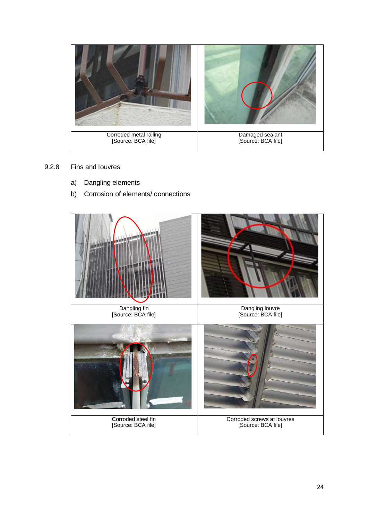

#### 9.2.8 Fins and louvres

- a) Dangling elements
- b) Corrosion of elements/ connections

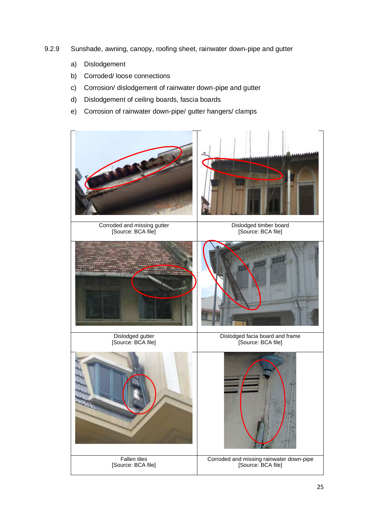- 9.2.9 Sunshade, awning, canopy, roofing sheet, rainwater down-pipe and gutter
	- a) Dislodgement
	- b) Corroded/ loose connections
	- c) Corrosion/ dislodgement of rainwater down-pipe and gutter
	- d) Dislodgement of ceiling boards, fascia boards
	- e) Corrosion of rainwater down-pipe/ gutter hangers/ clamps

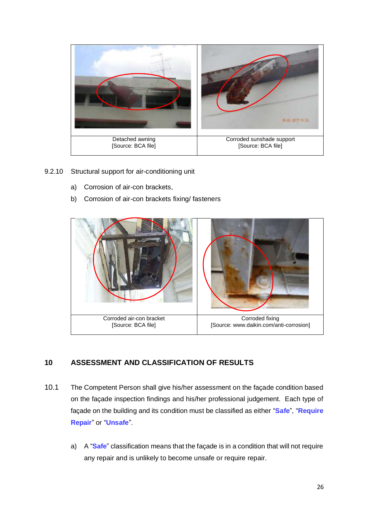

- 9.2.10 Structural support for air-conditioning unit
	- a) Corrosion of air-con brackets,
	- b) Corrosion of air-con brackets fixing/ fasteners



### **10 ASSESSMENT AND CLASSIFICATION OF RESULTS**

- 10.1 The Competent Person shall give his/her assessment on the façade condition based on the façade inspection findings and his/her professional judgement. Each type of façade on the building and its condition must be classified as either "**Safe**", "**Require Repair**" or "**Unsafe**".
	- a) A "**Safe**" classification means that the façade is in a condition that will not require any repair and is unlikely to become unsafe or require repair.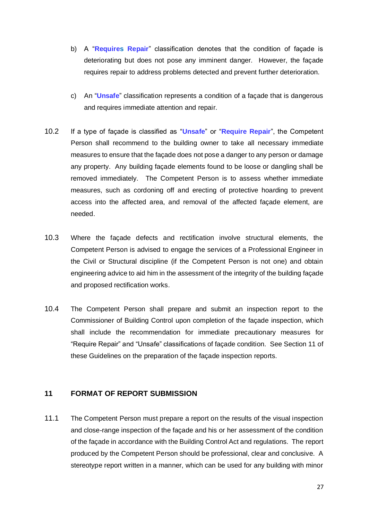- b) A "**Requires Repair**" classification denotes that the condition of façade is deteriorating but does not pose any imminent danger. However, the façade requires repair to address problems detected and prevent further deterioration.
- c) An "**Unsafe**" classification represents a condition of a façade that is dangerous and requires immediate attention and repair.
- 10.2 If a type of façade is classified as "**Unsafe**" or "**Require Repair**", the Competent Person shall recommend to the building owner to take all necessary immediate measures to ensure that the façade does not pose a danger to any person or damage any property. Any building façade elements found to be loose or dangling shall be removed immediately. The Competent Person is to assess whether immediate measures, such as cordoning off and erecting of protective hoarding to prevent access into the affected area, and removal of the affected façade element, are needed.
- 10.3 Where the façade defects and rectification involve structural elements, the Competent Person is advised to engage the services of a Professional Engineer in the Civil or Structural discipline (if the Competent Person is not one) and obtain engineering advice to aid him in the assessment of the integrity of the building façade and proposed rectification works.
- 10.4 The Competent Person shall prepare and submit an inspection report to the Commissioner of Building Control upon completion of the façade inspection, which shall include the recommendation for immediate precautionary measures for "Require Repair" and "Unsafe" classifications of façade condition. See Section 11 of these Guidelines on the preparation of the façade inspection reports.

#### **11 FORMAT OF REPORT SUBMISSION**

11.1 The Competent Person must prepare a report on the results of the visual inspection and close-range inspection of the façade and his or her assessment of the condition of the façade in accordance with the Building Control Act and regulations. The report produced by the Competent Person should be professional, clear and conclusive. A stereotype report written in a manner, which can be used for any building with minor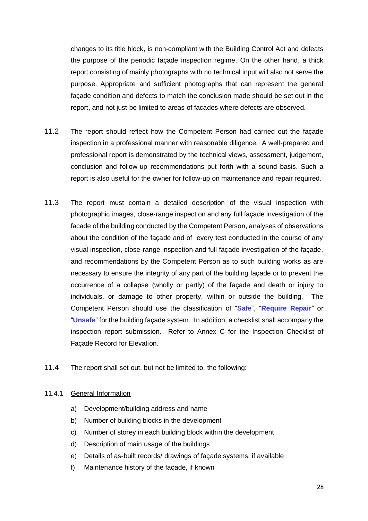changes to its title block, is non-compliant with the Building Control Act and defeats the purpose of the periodic façade inspection regime. On the other hand, a thick report consisting of mainly photographs with no technical input will also not serve the purpose. Appropriate and sufficient photographs that can represent the general façade condition and defects to match the conclusion made should be set out in the report, and not just be limited to areas of facades where defects are observed.

- 11.2 The report should reflect how the Competent Person had carried out the façade inspection in a professional manner with reasonable diligence. A well-prepared and professional report is demonstrated by the technical views, assessment, judgement, conclusion and follow-up recommendations put forth with a sound basis. Such a report is also useful for the owner for follow-up on maintenance and repair required.
- 11.3 The report must contain a detailed description of the visual inspection with photographic images, close-range inspection and any full façade investigation of the facade of the building conducted by the Competent Person, analyses of observations about the condition of the façade and of every test conducted in the course of any visual inspection, close-range inspection and full façade investigation of the façade, and recommendations by the Competent Person as to such building works as are necessary to ensure the integrity of any part of the building façade or to prevent the occurrence of a collapse (wholly or partly) of the façade and death or injury to individuals, or damage to other property, within or outside the building. The Competent Person should use the classification of "**Safe**", "**Require Repair**" or "**Unsafe**" for the building façade system. In addition, a checklist shall accompany the inspection report submission. Refer to Annex C for the Inspection Checklist of Façade Record for Elevation.
- 11.4 The report shall set out, but not be limited to, the following:

#### 11.4.1 General Information

- a) Development/building address and name
- b) Number of building blocks in the development
- c) Number of storey in each building block within the development
- d) Description of main usage of the buildings
- e) Details of as-built records/ drawings of façade systems, if available
- f) Maintenance history of the façade, if known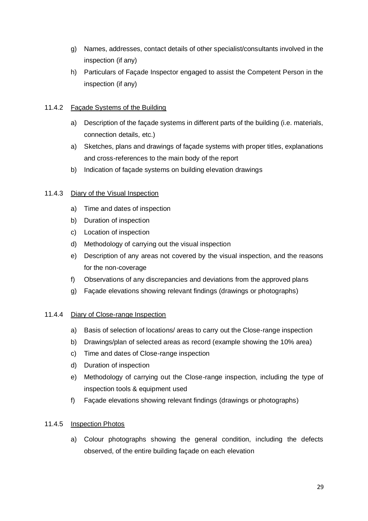- g) Names, addresses, contact details of other specialist/consultants involved in the inspection (if any)
- h) Particulars of Façade Inspector engaged to assist the Competent Person in the inspection (if any)

#### 11.4.2 Façade Systems of the Building

- a) Description of the façade systems in different parts of the building (i.e. materials, connection details, etc.)
- a) Sketches, plans and drawings of façade systems with proper titles, explanations and cross-references to the main body of the report
- b) Indication of façade systems on building elevation drawings

#### 11.4.3 Diary of the Visual Inspection

- a) Time and dates of inspection
- b) Duration of inspection
- c) Location of inspection
- d) Methodology of carrying out the visual inspection
- e) Description of any areas not covered by the visual inspection, and the reasons for the non-coverage
- f) Observations of any discrepancies and deviations from the approved plans
- g) Façade elevations showing relevant findings (drawings or photographs)

#### 11.4.4 Diary of Close-range Inspection

- a) Basis of selection of locations/ areas to carry out the Close-range inspection
- b) Drawings/plan of selected areas as record (example showing the 10% area)
- c) Time and dates of Close-range inspection
- d) Duration of inspection
- e) Methodology of carrying out the Close-range inspection, including the type of inspection tools & equipment used
- f) Façade elevations showing relevant findings (drawings or photographs)

#### 11.4.5 Inspection Photos

a) Colour photographs showing the general condition, including the defects observed, of the entire building façade on each elevation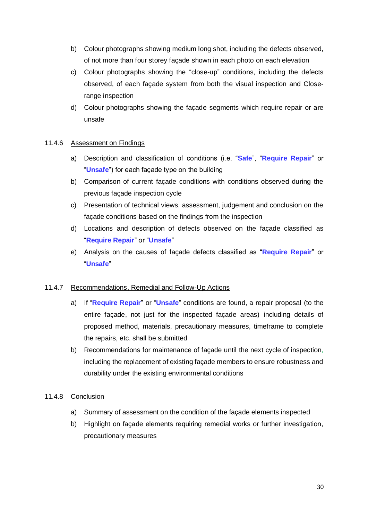- b) Colour photographs showing medium long shot, including the defects observed, of not more than four storey façade shown in each photo on each elevation
- c) Colour photographs showing the "close-up" conditions, including the defects observed, of each façade system from both the visual inspection and Closerange inspection
- d) Colour photographs showing the façade segments which require repair or are unsafe

#### 11.4.6 Assessment on Findings

- a) Description and classification of conditions (i.e. "**Safe**", "**Require Repair**" or "**Unsafe**") for each façade type on the building
- b) Comparison of current façade conditions with conditions observed during the previous façade inspection cycle
- c) Presentation of technical views, assessment, judgement and conclusion on the façade conditions based on the findings from the inspection
- d) Locations and description of defects observed on the façade classified as "**Require Repair**" or "**Unsafe**"
- e) Analysis on the causes of façade defects classified as "**Require Repair**" or "**Unsafe**"

#### 11.4.7 Recommendations, Remedial and Follow-Up Actions

- a) If "**Require Repair**" or "**Unsafe**" conditions are found, a repair proposal (to the entire façade, not just for the inspected façade areas) including details of proposed method, materials, precautionary measures, timeframe to complete the repairs, etc. shall be submitted
- b) Recommendations for maintenance of façade until the next cycle of inspection, including the replacement of existing façade members to ensure robustness and durability under the existing environmental conditions

#### 11.4.8 Conclusion

- a) Summary of assessment on the condition of the façade elements inspected
- b) Highlight on façade elements requiring remedial works or further investigation, precautionary measures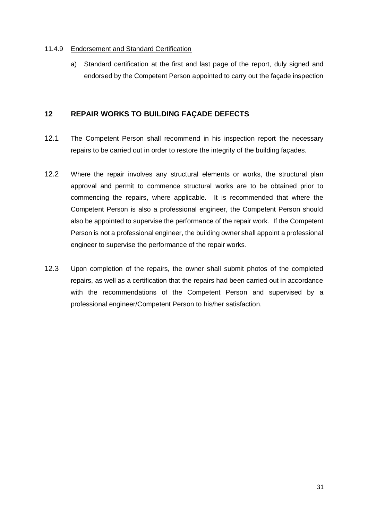#### 11.4.9 Endorsement and Standard Certification

a) Standard certification at the first and last page of the report, duly signed and endorsed by the Competent Person appointed to carry out the façade inspection

#### **12 REPAIR WORKS TO BUILDING FAÇADE DEFECTS**

- 12.1 The Competent Person shall recommend in his inspection report the necessary repairs to be carried out in order to restore the integrity of the building façades.
- 12.2 Where the repair involves any structural elements or works, the structural plan approval and permit to commence structural works are to be obtained prior to commencing the repairs, where applicable. It is recommended that where the Competent Person is also a professional engineer, the Competent Person should also be appointed to supervise the performance of the repair work. If the Competent Person is not a professional engineer, the building owner shall appoint a professional engineer to supervise the performance of the repair works.
- 12.3 Upon completion of the repairs, the owner shall submit photos of the completed repairs, as well as a certification that the repairs had been carried out in accordance with the recommendations of the Competent Person and supervised by a professional engineer/Competent Person to his/her satisfaction.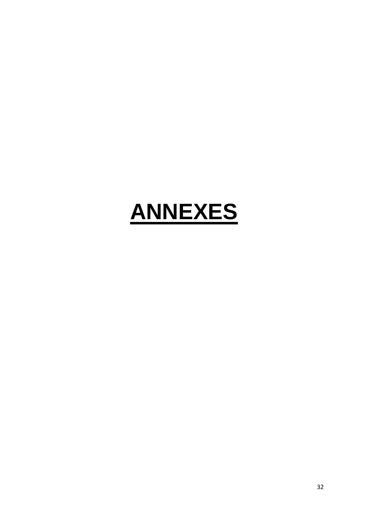# **ANNEXES**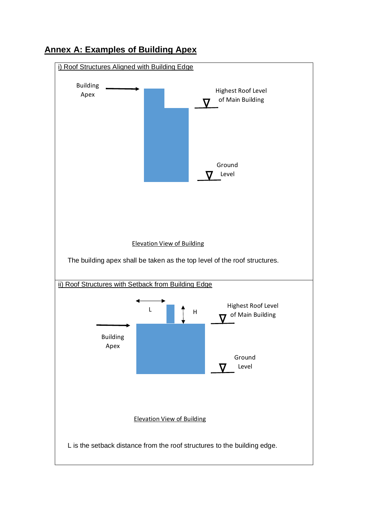

## **Annex A: Examples of Building Apex**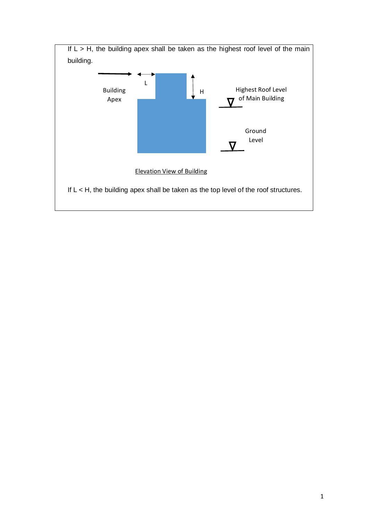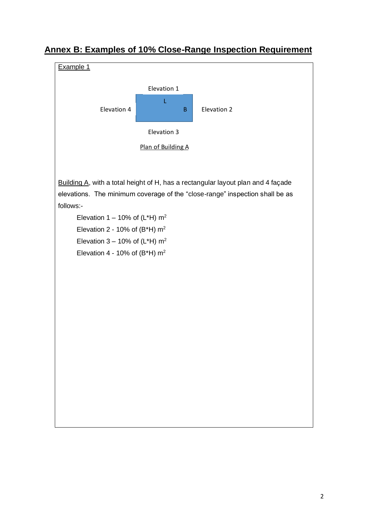

## **Annex B: Examples of 10% Close-Range Inspection Requirement**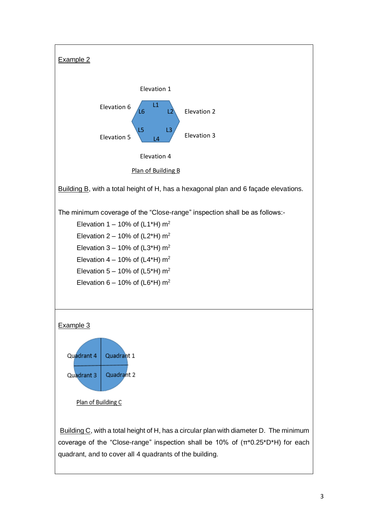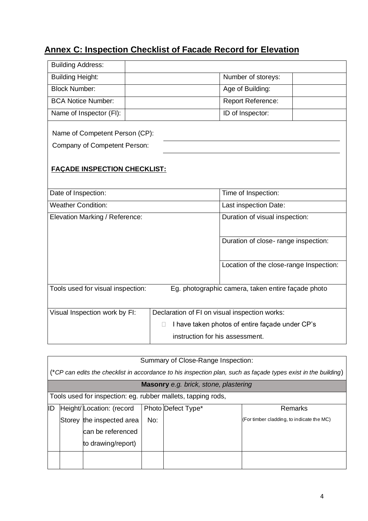# **Annex C: Inspection Checklist of Facade Record for Elevation**

| <b>Building Address:</b>                                                                |                                               |                                                 |  |  |  |
|-----------------------------------------------------------------------------------------|-----------------------------------------------|-------------------------------------------------|--|--|--|
| <b>Building Height:</b>                                                                 |                                               | Number of storeys:                              |  |  |  |
| <b>Block Number:</b>                                                                    |                                               | Age of Building:                                |  |  |  |
| <b>BCA Notice Number:</b>                                                               |                                               | Report Reference:                               |  |  |  |
| Name of Inspector (FI):                                                                 |                                               | ID of Inspector:                                |  |  |  |
| Name of Competent Person (CP):<br>Company of Competent Person:                          |                                               |                                                 |  |  |  |
| <b>FAÇADE INSPECTION CHECKLIST:</b>                                                     |                                               |                                                 |  |  |  |
| Date of Inspection:                                                                     |                                               | Time of Inspection:                             |  |  |  |
| <b>Weather Condition:</b>                                                               |                                               | Last inspection Date:                           |  |  |  |
| Elevation Marking / Reference:                                                          |                                               | Duration of visual inspection:                  |  |  |  |
|                                                                                         |                                               | Duration of close-range inspection:             |  |  |  |
|                                                                                         |                                               | Location of the close-range Inspection:         |  |  |  |
| Tools used for visual inspection:<br>Eg. photographic camera, taken entire façade photo |                                               |                                                 |  |  |  |
| Visual Inspection work by FI:                                                           | Declaration of FI on visual inspection works: |                                                 |  |  |  |
|                                                                                         | П                                             | I have taken photos of entire façade under CP's |  |  |  |
|                                                                                         | instruction for his assessment.               |                                                 |  |  |  |

|    | Summary of Close-Range Inspection:                                                                             |                           |     |                    |                                           |
|----|----------------------------------------------------------------------------------------------------------------|---------------------------|-----|--------------------|-------------------------------------------|
|    | (*CP can edits the checklist in accordance to his inspection plan, such as façade types exist in the building) |                           |     |                    |                                           |
|    | Masonry e.g. brick, stone, plastering                                                                          |                           |     |                    |                                           |
|    | Tools used for inspection: eg. rubber mallets, tapping rods,                                                   |                           |     |                    |                                           |
| ID |                                                                                                                | Height/Location: (record  |     | Photo Defect Type* | Remarks                                   |
|    |                                                                                                                | Storey the inspected area | No: |                    | (For timber cladding, to indicate the MC) |
|    |                                                                                                                | can be referenced         |     |                    |                                           |
|    |                                                                                                                | to drawing/report)        |     |                    |                                           |
|    |                                                                                                                |                           |     |                    |                                           |
|    |                                                                                                                |                           |     |                    |                                           |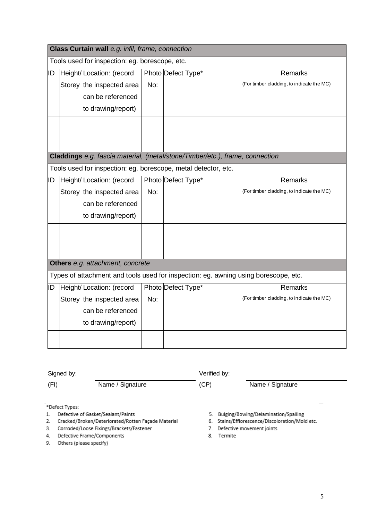| Glass Curtain wall e.g. infil, frame, connection                                    |  |                             |     |                                                                              |                                           |
|-------------------------------------------------------------------------------------|--|-----------------------------|-----|------------------------------------------------------------------------------|-------------------------------------------|
| Tools used for inspection: eg. borescope, etc.                                      |  |                             |     |                                                                              |                                           |
| ID                                                                                  |  | Height/Location: (record    |     | Photo Defect Type*                                                           | Remarks                                   |
|                                                                                     |  | Storey the inspected area   | No: |                                                                              | (For timber cladding, to indicate the MC) |
|                                                                                     |  | can be referenced           |     |                                                                              |                                           |
|                                                                                     |  | to drawing/report)          |     |                                                                              |                                           |
|                                                                                     |  |                             |     |                                                                              |                                           |
|                                                                                     |  |                             |     |                                                                              |                                           |
|                                                                                     |  |                             |     |                                                                              |                                           |
|                                                                                     |  |                             |     | Claddings e.g. fascia material, (metal/stone/Timber/etc.), frame, connection |                                           |
|                                                                                     |  |                             |     | Tools used for inspection: eg. borescope, metal detector, etc.               |                                           |
| ID                                                                                  |  | Height/Location: (record    |     | Photo Defect Type*                                                           | Remarks                                   |
|                                                                                     |  | Storey the inspected area   | No: |                                                                              | (For timber cladding, to indicate the MC) |
|                                                                                     |  | can be referenced           |     |                                                                              |                                           |
|                                                                                     |  | to drawing/report)          |     |                                                                              |                                           |
|                                                                                     |  |                             |     |                                                                              |                                           |
|                                                                                     |  |                             |     |                                                                              |                                           |
|                                                                                     |  |                             |     |                                                                              |                                           |
| Others e.g. attachment, concrete                                                    |  |                             |     |                                                                              |                                           |
| Types of attachment and tools used for inspection: eg. awning using borescope, etc. |  |                             |     |                                                                              |                                           |
|                                                                                     |  | ID Height/Location: (record |     | Photo Defect Type*                                                           | <b>Remarks</b>                            |
|                                                                                     |  | Storey the inspected area   | No: |                                                                              | (For timber cladding, to indicate the MC) |
|                                                                                     |  | can be referenced           |     |                                                                              |                                           |
|                                                                                     |  | to drawing/report)          |     |                                                                              |                                           |
|                                                                                     |  |                             |     |                                                                              |                                           |
|                                                                                     |  |                             |     |                                                                              |                                           |

|                                                                                          | Signed by:     |                  | Verified by: |                                                                                         |  |
|------------------------------------------------------------------------------------------|----------------|------------------|--------------|-----------------------------------------------------------------------------------------|--|
| (FI)                                                                                     |                | Name / Signature | (CP)         | Name / Signature                                                                        |  |
|                                                                                          | *Defect Types: |                  |              |                                                                                         |  |
| Defective of Gasket/Sealant/Paints<br>Cracked/Broken/Deteriorated/Dotten Eacade Material |                |                  | 5.           | Bulging/Bowing/Delamination/Spalling<br>4. Stains/Efflorascence/Discoloration/Mold etc. |  |

- 2. Cracked/Broken/Deteriorated/Rotten Façade Material<br>3. Corroded/Loose Fixings/Brackets/Fastener
- 4. Defective Frame/Components
- 9. Others (please specify)
- 6. Stains/Efflorescence/Discoloration/Mold etc.
- 7. Defective movement joints
- 8. Termite